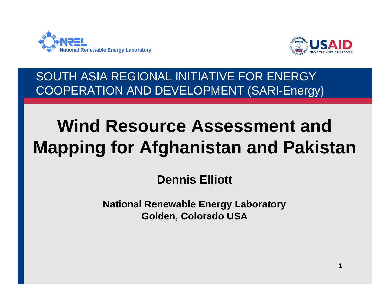



1

SOUTH ASIA REGIONAL INITIATIVE FOR ENERGY COOPERATION AND DEVELOPMENT (SARI-Energy)

# **Wind Resource Assessment and Mapping for Afghanistan and Pakistan**

**Dennis Elliott**

**National Renewable Energy Laboratory Golden, Colorado USA**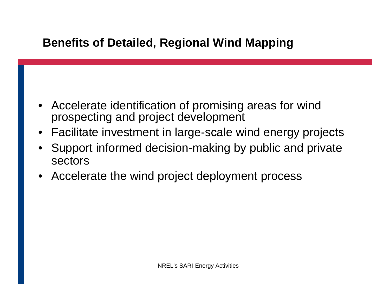#### **Benefits of Detailed, Regional Wind Mapping**

- Accelerate identification of promising areas for wind prospecting and project development
- Facilitate investment in large-scale wind energy projects
- Support informed decision-making by public and private sectors
- Accelerate the wind project deployment process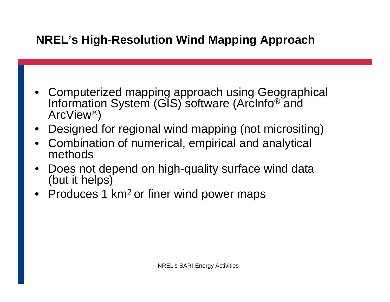## **NREL's High-Resolution Wind Mapping Approach**

- Computerized mapping approach using Geographical Information System (GIS) software (ArcInfo® and ArcView®)
- Designed for regional wind mapping (not micrositing)
- Combination of numerical, empirical and analytical methods
- Does not depend on high-quality surface wind data (but it helps)
- Produces 1 km<sup>2</sup> or finer wind power maps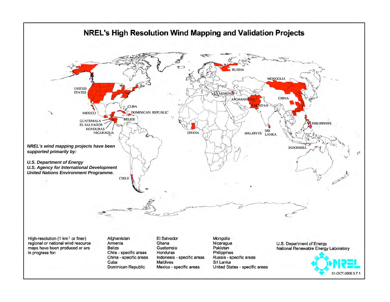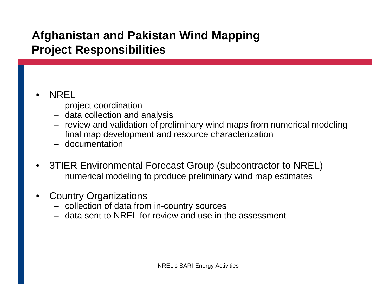#### **Afghanistan and Pakistan Wind Mapping Project Responsibilities**

#### • NREL

- project coordination
- data collection and analysis
- review and validation of preliminary wind maps from numerical modeling
- final map development and resource characterization
- documentation
- 3TIER Environmental Forecast Group (subcontractor to NREL)
	- numerical modeling to produce preliminary wind map estimates
- Country Organizations
	- collection of data from in-country sources
	- data sent to NREL for review and use in the assessment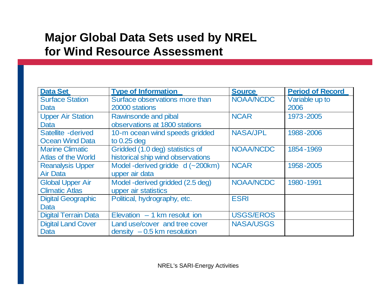#### **Major Global Data Sets used by NREL for Wind Resource Assessment**

| <b>Data Set</b>             | <b>Type of Information</b>        | <b>Source</b>    | <b>Period of Record</b> |
|-----------------------------|-----------------------------------|------------------|-------------------------|
| <b>Surface Station</b>      | Surface observations more than    | NOAA/NCDC        | Variable up to          |
| Data                        | 20000 stations                    |                  | 2006                    |
| <b>Upper Air Station</b>    | Rawinsonde and pibal              | <b>NCAR</b>      | 1973-2005               |
| <b>Data</b>                 | observations at 1800 stations     |                  |                         |
| Satellite -derived          | 10-m ocean wind speeds gridded    | <b>NASA/JPL</b>  | 1988-2006               |
| <b>Ocean Wind Data</b>      | to $0.25$ deg                     |                  |                         |
| <b>Marine Climatic</b>      | Gridded (1.0 deg) statistics of   | NOAA/NCDC        | 1854-1969               |
| <b>Atlas of the World</b>   | historical ship wind observations |                  |                         |
| <b>Reanalysis Upper</b>     | Model-derived gridde d (~200km)   | <b>NCAR</b>      | 1958-2005               |
| <b>Air Data</b>             | upper air data                    |                  |                         |
| <b>Global Upper Air</b>     | Model-derived gridded (2.5 deg)   | NOAA/NCDC        | 1980-1991               |
| <b>Climatic Atlas</b>       | upper air statistics              |                  |                         |
| <b>Digital Geographic</b>   | Political, hydrography, etc.      | <b>ESRI</b>      |                         |
| Data                        |                                   |                  |                         |
| <b>Digital Terrain Data</b> | Elevation $-1$ km resolut ion     | <b>USGS/EROS</b> |                         |
| <b>Digital Land Cover</b>   | Land use/cover and tree cover     | <b>NASA/USGS</b> |                         |
| Data                        | $density -0.5 km resolution$      |                  |                         |

NREL's SARI-Energy Activities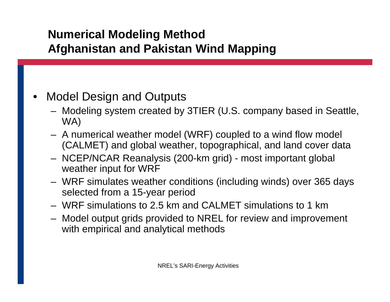#### **Numerical Modeling Method Afghanistan and Pakistan Wind Mapping**

#### • Model Design and Outputs

- Modeling system created by 3TIER (U.S. company based in Seattle, WA)
- A numerical weather model (WRF) coupled to a wind flow model (CALMET) and global weather, topographical, and land cover data
- NCEP/NCAR Reanalysis (200-km grid) most important global weather input for WRF
- WRF simulates weather conditions (including winds) over 365 days selected from a 15-year period
- WRF simulations to 2.5 km and CALMET simulations to 1 km
- Model output grids provided to NREL for review and improvement with empirical and analytical methods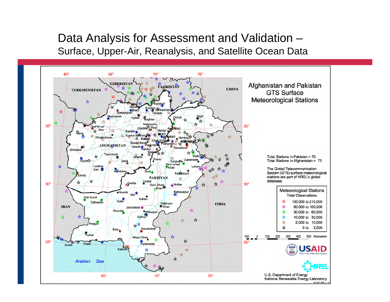#### Data Analysis for Assessment and Validation – Surface, Upper-Air, Reanalysis, and Satellite Ocean Data

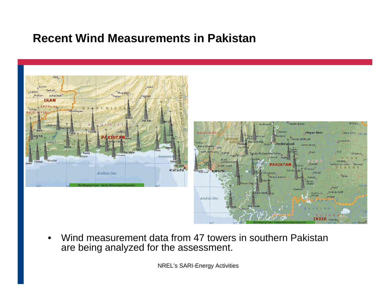#### **Recent Wind Measurements in Pakistan**



• Wind measurement data from 47 towers in southern Pakistan are being analyzed for the assessment.

NREL's SARI-Energy Activities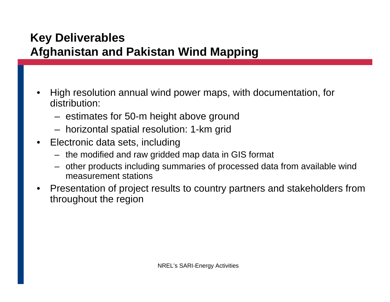#### **Key Deliverables Afghanistan and Pakistan Wind Mapping**

- High resolution annual wind power maps, with documentation, for distribution:
	- estimates for 50-m height above ground
	- horizontal spatial resolution: 1-km grid
- Electronic data sets, including
	- the modified and raw gridded map data in GIS format
	- other products including summaries of processed data from available wind measurement stations
- Presentation of project results to country partners and stakeholders from throughout the region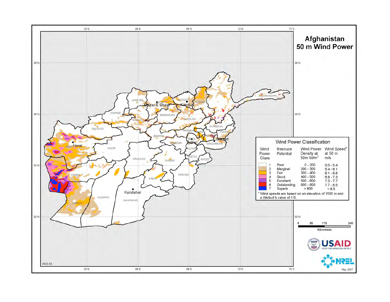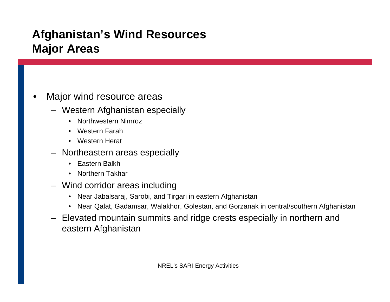### **Afghanistan's Wind Resources Major Areas**

#### Major wind resource areas

- Western Afghanistan especially
	- Northwestern Nimroz
	- Western Farah
	- Western Herat
- Northeastern areas especially
	- Eastern Balkh
	- Northern Takhar
- Wind corridor areas including
	- Near Jabalsaraj, Sarobi, and Tirgari in eastern Afghanistan
	- Near Qalat, Gadamsar, Walakhor, Golestan, and Gorzanak in central/southern Afghanistan
- Elevated mountain summits and ridge crests especially in northern and eastern Afghanistan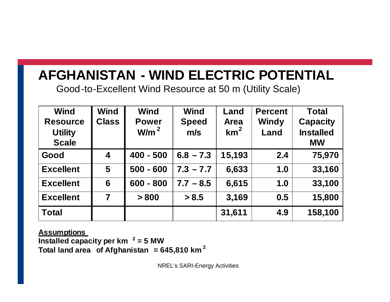# **AFGHANISTAN - WIND ELECTRIC POTENTIAL**

Good-to-Excellent Wind Resource at 50 m (Utility Scale)

| <b>Wind</b><br><b>Resource</b><br><b>Utility</b><br><b>Scale</b> | Wind<br><b>Class</b> | <b>Wind</b><br><b>Power</b><br>W/m <sup>2</sup> | <b>Wind</b><br><b>Speed</b><br>m/s | Land<br><b>Area</b><br>km <sup>2</sup> | <b>Percent</b><br>Windy<br>Land | <b>Total</b><br><b>Capacity</b><br><b>Installed</b><br><b>MW</b> |
|------------------------------------------------------------------|----------------------|-------------------------------------------------|------------------------------------|----------------------------------------|---------------------------------|------------------------------------------------------------------|
| Good                                                             | $\boldsymbol{4}$     | $400 - 500$                                     | $6.8 - 7.3$                        | 15,193                                 | 2.4                             | 75,970                                                           |
| <b>Excellent</b>                                                 | 5                    | $500 - 600$                                     | $7.3 - 7.7$                        | 6,633                                  | 1.0                             | 33,160                                                           |
| <b>Excellent</b>                                                 | 6                    | $600 - 800$                                     | $7.7 - 8.5$                        | 6,615                                  | 1.0                             | 33,100                                                           |
| <b>Excellent</b>                                                 | 7                    | > 800                                           | > 8.5                              | 3,169                                  | 0.5                             | 15,800                                                           |
| <b>Total</b>                                                     |                      |                                                 |                                    | 31,611                                 | 4.9                             | 158,100                                                          |

**Assumptions Installed capacity per km <sup>2</sup> = 5 MW Total land area of Afghanistan = 645,810 km <sup>2</sup>**

NREL's SARI-Energy Activities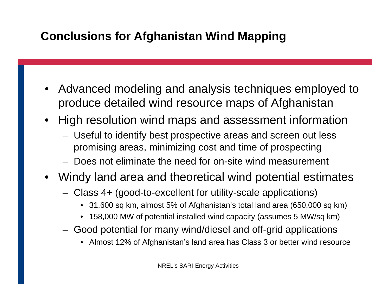## **Conclusions for Afghanistan Wind Mapping**

- Advanced modeling and analysis techniques employed to produce detailed wind resource maps of Afghanistan
- High resolution wind maps and assessment information
	- Useful to identify best prospective areas and screen out less promising areas, minimizing cost and time of prospecting
	- Does not eliminate the need for on-site wind measurement
- Windy land area and theoretical wind potential estimates
	- Class 4+ (good-to-excellent for utility-scale applications)
		- 31,600 sq km, almost 5% of Afghanistan's total land area (650,000 sq km)
		- 158,000 MW of potential installed wind capacity (assumes 5 MW/sq km)
	- Good potential for many wind/diesel and off-grid applications
		- Almost 12% of Afghanistan's land area has Class 3 or better wind resource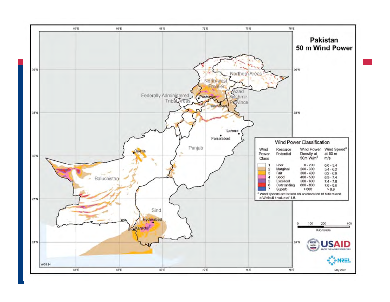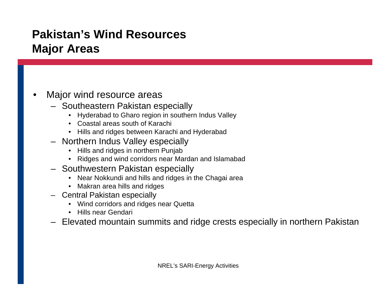#### **Pakistan's Wind Resources Major Areas**

#### Major wind resource areas

- Southeastern Pakistan especially
	- Hyderabad to Gharo region in southern Indus Valley
	- Coastal areas south of Karachi
	- Hills and ridges between Karachi and Hyderabad
- Northern Indus Valley especially
	- Hills and ridges in northern Punjab
	- Ridges and wind corridors near Mardan and Islamabad
- Southwestern Pakistan especially
	- Near Nokkundi and hills and ridges in the Chagai area
	- Makran area hills and ridges
- Central Pakistan especially
	- Wind corridors and ridges near Quetta
	- Hills near Gendari
- Elevated mountain summits and ridge crests especially in northern Pakistan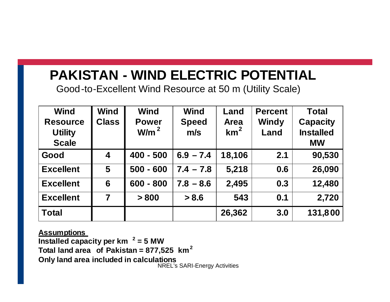## **PAKISTAN - WIND ELECTRIC POTENTIAL**

Good-to-Excellent Wind Resource at 50 m (Utility Scale)

| <b>Wind</b>      | <b>Wind</b>             | <b>Wind</b>      | <b>Wind</b>  | Land            | <b>Percent</b> | <b>Total</b>     |
|------------------|-------------------------|------------------|--------------|-----------------|----------------|------------------|
| <b>Resource</b>  | <b>Class</b>            | <b>Power</b>     | <b>Speed</b> | <b>Area</b>     | Windy          | <b>Capacity</b>  |
| <b>Utility</b>   |                         | W/m <sup>2</sup> | m/s          | km <sup>2</sup> | Land           | <b>Installed</b> |
| <b>Scale</b>     |                         |                  |              |                 |                | <b>MW</b>        |
| Good             | $\overline{\mathbf{4}}$ | $400 - 500$      | $6.9 - 7.4$  | 18,106          | 2.1            | 90,530           |
| <b>Excellent</b> | 5                       | $500 - 600$      | $7.4 - 7.8$  | 5,218           | 0.6            | 26,090           |
| <b>Excellent</b> | 6                       | $600 - 800$      | $7.8 - 8.6$  | 2,495           | 0.3            | 12,480           |
| <b>Excellent</b> | 7                       | > 800            | > 8.6        | 543             | 0.1            | 2,720            |
| <b>Total</b>     |                         |                  |              | 26,362          | 3.0            | 131,800          |

NREL's SARI-Energy Activities **Assumptions Installed capacity per km <sup>2</sup> = 5 MW Total land area of Pakistan = 877,525 km<sup>2</sup> Only land area included in calculations**